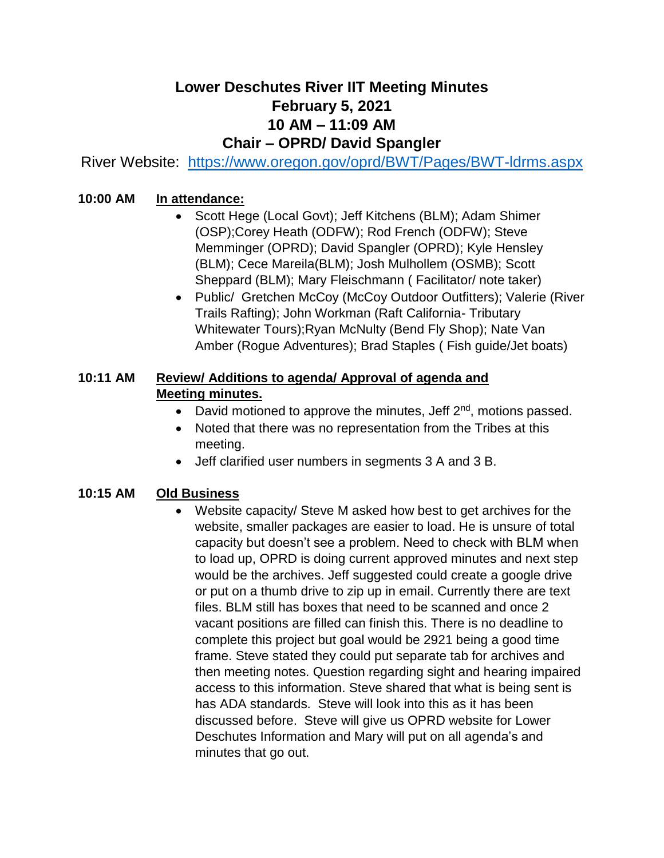# **Lower Deschutes River IIT Meeting Minutes February 5, 2021 10 AM – 11:09 AM Chair – OPRD/ David Spangler**

River Website: <https://www.oregon.gov/oprd/BWT/Pages/BWT-ldrms.aspx>

# **10:00 AM In attendance:**

- Scott Hege (Local Govt); Jeff Kitchens (BLM); Adam Shimer (OSP);Corey Heath (ODFW); Rod French (ODFW); Steve Memminger (OPRD); David Spangler (OPRD); Kyle Hensley (BLM); Cece Mareila(BLM); Josh Mulhollem (OSMB); Scott Sheppard (BLM); Mary Fleischmann ( Facilitator/ note taker)
- Public/ Gretchen McCoy (McCoy Outdoor Outfitters); Valerie (River Trails Rafting); John Workman (Raft California- Tributary Whitewater Tours);Ryan McNulty (Bend Fly Shop); Nate Van Amber (Rogue Adventures); Brad Staples ( Fish guide/Jet boats)

# **10:11 AM Review/ Additions to agenda/ Approval of agenda and Meeting minutes.**

- David motioned to approve the minutes, Jeff  $2^{nd}$ , motions passed.
- Noted that there was no representation from the Tribes at this meeting.
- Jeff clarified user numbers in segments 3 A and 3 B.

# **10:15 AM Old Business**

• Website capacity/ Steve M asked how best to get archives for the website, smaller packages are easier to load. He is unsure of total capacity but doesn't see a problem. Need to check with BLM when to load up, OPRD is doing current approved minutes and next step would be the archives. Jeff suggested could create a google drive or put on a thumb drive to zip up in email. Currently there are text files. BLM still has boxes that need to be scanned and once 2 vacant positions are filled can finish this. There is no deadline to complete this project but goal would be 2921 being a good time frame. Steve stated they could put separate tab for archives and then meeting notes. Question regarding sight and hearing impaired access to this information. Steve shared that what is being sent is has ADA standards. Steve will look into this as it has been discussed before. Steve will give us OPRD website for Lower Deschutes Information and Mary will put on all agenda's and minutes that go out.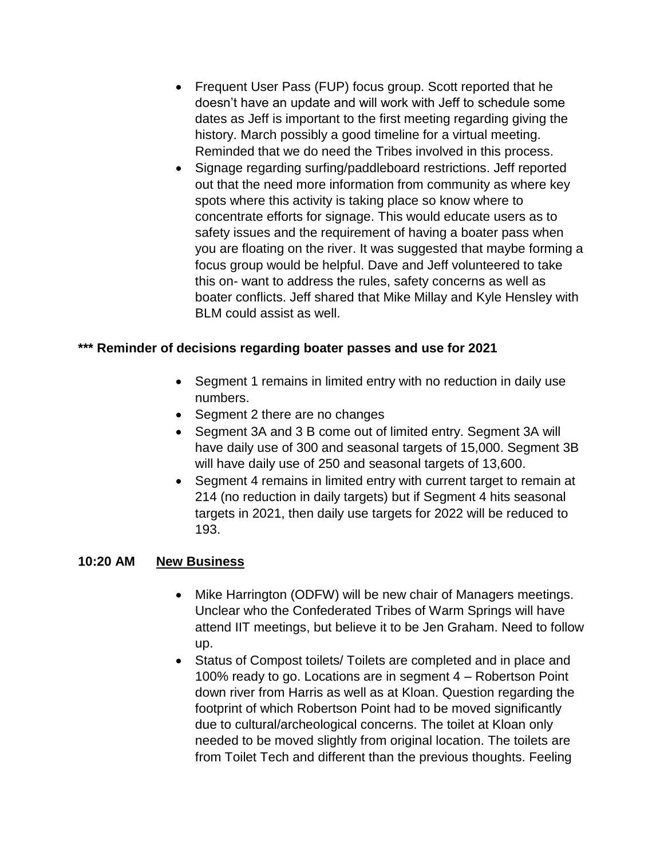- Frequent User Pass (FUP) focus group. Scott reported that he doesn't have an update and will work with Jeff to schedule some dates as Jeff is important to the first meeting regarding giving the history. March possibly a good timeline for a virtual meeting. Reminded that we do need the Tribes involved in this process.
- Signage regarding surfing/paddleboard restrictions. Jeff reported out that the need more information from community as where key spots where this activity is taking place so know where to concentrate efforts for signage. This would educate users as to safety issues and the requirement of having a boater pass when you are floating on the river. It was suggested that maybe forming a focus group would be helpful. Dave and Jeff volunteered to take this on- want to address the rules, safety concerns as well as boater conflicts. Jeff shared that Mike Millay and Kyle Hensley with BLM could assist as well.

### **\*\*\* Reminder of decisions regarding boater passes and use for 2021**

- Segment 1 remains in limited entry with no reduction in daily use numbers.
- Segment 2 there are no changes
- Segment 3A and 3 B come out of limited entry. Segment 3A will have daily use of 300 and seasonal targets of 15,000. Segment 3B will have daily use of 250 and seasonal targets of 13,600.
- Segment 4 remains in limited entry with current target to remain at 214 (no reduction in daily targets) but if Segment 4 hits seasonal targets in 2021, then daily use targets for 2022 will be reduced to 193.

#### **10:20 AM New Business**

- Mike Harrington (ODFW) will be new chair of Managers meetings. Unclear who the Confederated Tribes of Warm Springs will have attend IIT meetings, but believe it to be Jen Graham. Need to follow up.
- Status of Compost toilets/ Toilets are completed and in place and 100% ready to go. Locations are in segment 4 – Robertson Point down river from Harris as well as at Kloan. Question regarding the footprint of which Robertson Point had to be moved significantly due to cultural/archeological concerns. The toilet at Kloan only needed to be moved slightly from original location. The toilets are from Toilet Tech and different than the previous thoughts. Feeling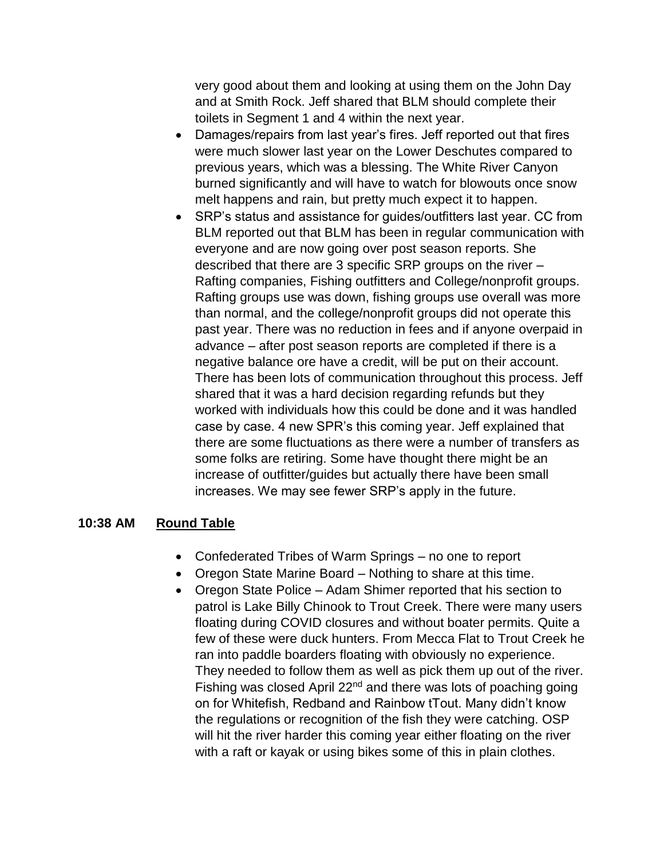very good about them and looking at using them on the John Day and at Smith Rock. Jeff shared that BLM should complete their toilets in Segment 1 and 4 within the next year.

- Damages/repairs from last year's fires. Jeff reported out that fires were much slower last year on the Lower Deschutes compared to previous years, which was a blessing. The White River Canyon burned significantly and will have to watch for blowouts once snow melt happens and rain, but pretty much expect it to happen.
- SRP's status and assistance for guides/outfitters last year. CC from BLM reported out that BLM has been in regular communication with everyone and are now going over post season reports. She described that there are 3 specific SRP groups on the river – Rafting companies, Fishing outfitters and College/nonprofit groups. Rafting groups use was down, fishing groups use overall was more than normal, and the college/nonprofit groups did not operate this past year. There was no reduction in fees and if anyone overpaid in advance – after post season reports are completed if there is a negative balance ore have a credit, will be put on their account. There has been lots of communication throughout this process. Jeff shared that it was a hard decision regarding refunds but they worked with individuals how this could be done and it was handled case by case. 4 new SPR's this coming year. Jeff explained that there are some fluctuations as there were a number of transfers as some folks are retiring. Some have thought there might be an increase of outfitter/guides but actually there have been small increases. We may see fewer SRP's apply in the future.

#### **10:38 AM Round Table**

- Confederated Tribes of Warm Springs no one to report
- Oregon State Marine Board Nothing to share at this time.
- Oregon State Police Adam Shimer reported that his section to patrol is Lake Billy Chinook to Trout Creek. There were many users floating during COVID closures and without boater permits. Quite a few of these were duck hunters. From Mecca Flat to Trout Creek he ran into paddle boarders floating with obviously no experience. They needed to follow them as well as pick them up out of the river. Fishing was closed April 22<sup>nd</sup> and there was lots of poaching going on for Whitefish, Redband and Rainbow tTout. Many didn't know the regulations or recognition of the fish they were catching. OSP will hit the river harder this coming year either floating on the river with a raft or kayak or using bikes some of this in plain clothes.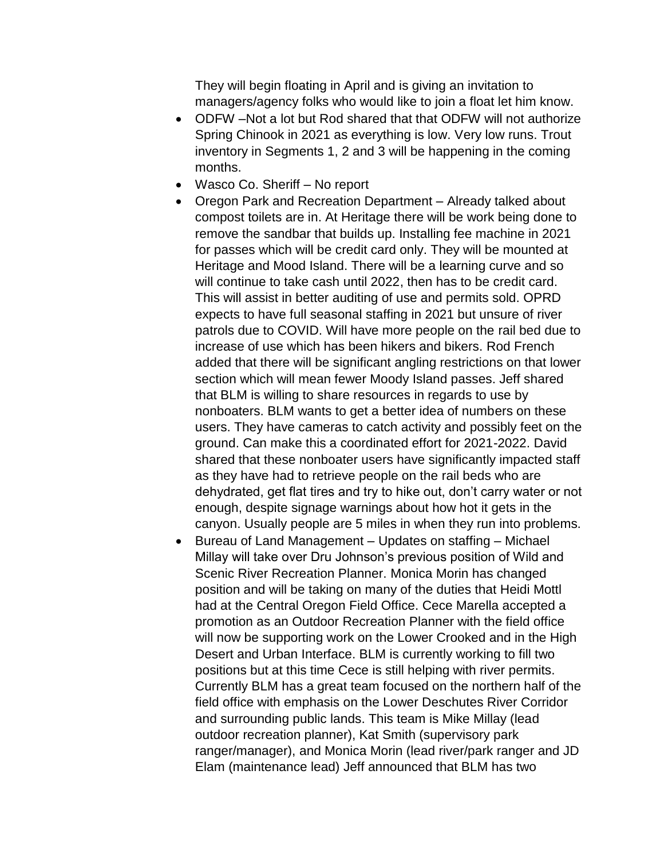They will begin floating in April and is giving an invitation to managers/agency folks who would like to join a float let him know.

- ODFW –Not a lot but Rod shared that that ODFW will not authorize Spring Chinook in 2021 as everything is low. Very low runs. Trout inventory in Segments 1, 2 and 3 will be happening in the coming months.
- Wasco Co. Sheriff No report
- Oregon Park and Recreation Department Already talked about compost toilets are in. At Heritage there will be work being done to remove the sandbar that builds up. Installing fee machine in 2021 for passes which will be credit card only. They will be mounted at Heritage and Mood Island. There will be a learning curve and so will continue to take cash until 2022, then has to be credit card. This will assist in better auditing of use and permits sold. OPRD expects to have full seasonal staffing in 2021 but unsure of river patrols due to COVID. Will have more people on the rail bed due to increase of use which has been hikers and bikers. Rod French added that there will be significant angling restrictions on that lower section which will mean fewer Moody Island passes. Jeff shared that BLM is willing to share resources in regards to use by nonboaters. BLM wants to get a better idea of numbers on these users. They have cameras to catch activity and possibly feet on the ground. Can make this a coordinated effort for 2021-2022. David shared that these nonboater users have significantly impacted staff as they have had to retrieve people on the rail beds who are dehydrated, get flat tires and try to hike out, don't carry water or not enough, despite signage warnings about how hot it gets in the canyon. Usually people are 5 miles in when they run into problems.
- Bureau of Land Management Updates on staffing Michael Millay will take over Dru Johnson's previous position of Wild and Scenic River Recreation Planner. Monica Morin has changed position and will be taking on many of the duties that Heidi Mottl had at the Central Oregon Field Office. Cece Marella accepted a promotion as an Outdoor Recreation Planner with the field office will now be supporting work on the Lower Crooked and in the High Desert and Urban Interface. BLM is currently working to fill two positions but at this time Cece is still helping with river permits. Currently BLM has a great team focused on the northern half of the field office with emphasis on the Lower Deschutes River Corridor and surrounding public lands. This team is Mike Millay (lead outdoor recreation planner), Kat Smith (supervisory park ranger/manager), and Monica Morin (lead river/park ranger and JD Elam (maintenance lead) Jeff announced that BLM has two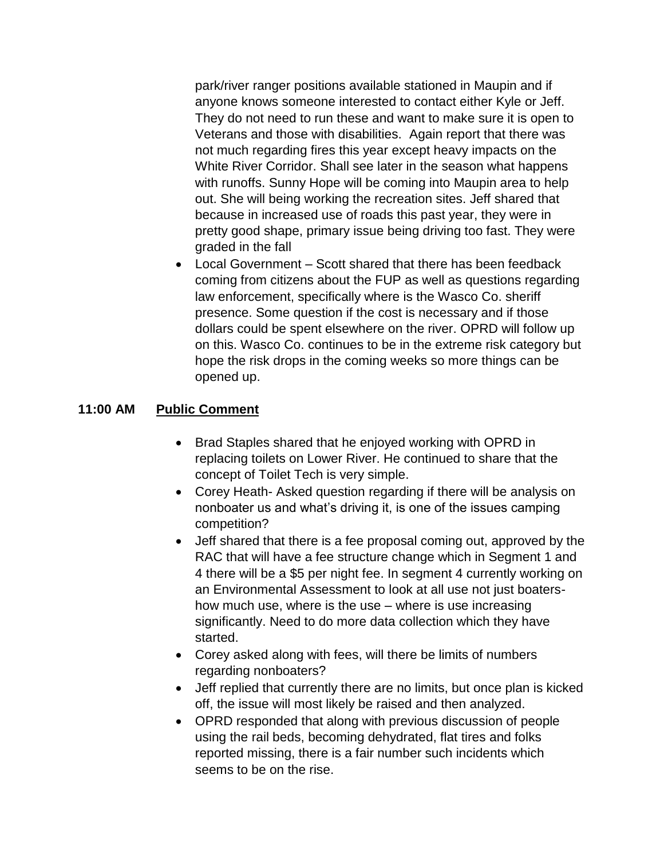park/river ranger positions available stationed in Maupin and if anyone knows someone interested to contact either Kyle or Jeff. They do not need to run these and want to make sure it is open to Veterans and those with disabilities. Again report that there was not much regarding fires this year except heavy impacts on the White River Corridor. Shall see later in the season what happens with runoffs. Sunny Hope will be coming into Maupin area to help out. She will being working the recreation sites. Jeff shared that because in increased use of roads this past year, they were in pretty good shape, primary issue being driving too fast. They were graded in the fall

• Local Government – Scott shared that there has been feedback coming from citizens about the FUP as well as questions regarding law enforcement, specifically where is the Wasco Co. sheriff presence. Some question if the cost is necessary and if those dollars could be spent elsewhere on the river. OPRD will follow up on this. Wasco Co. continues to be in the extreme risk category but hope the risk drops in the coming weeks so more things can be opened up.

#### **11:00 AM Public Comment**

- Brad Staples shared that he enjoyed working with OPRD in replacing toilets on Lower River. He continued to share that the concept of Toilet Tech is very simple.
- Corey Heath- Asked question regarding if there will be analysis on nonboater us and what's driving it, is one of the issues camping competition?
- Jeff shared that there is a fee proposal coming out, approved by the RAC that will have a fee structure change which in Segment 1 and 4 there will be a \$5 per night fee. In segment 4 currently working on an Environmental Assessment to look at all use not just boatershow much use, where is the use – where is use increasing significantly. Need to do more data collection which they have started.
- Corey asked along with fees, will there be limits of numbers regarding nonboaters?
- Jeff replied that currently there are no limits, but once plan is kicked off, the issue will most likely be raised and then analyzed.
- OPRD responded that along with previous discussion of people using the rail beds, becoming dehydrated, flat tires and folks reported missing, there is a fair number such incidents which seems to be on the rise.